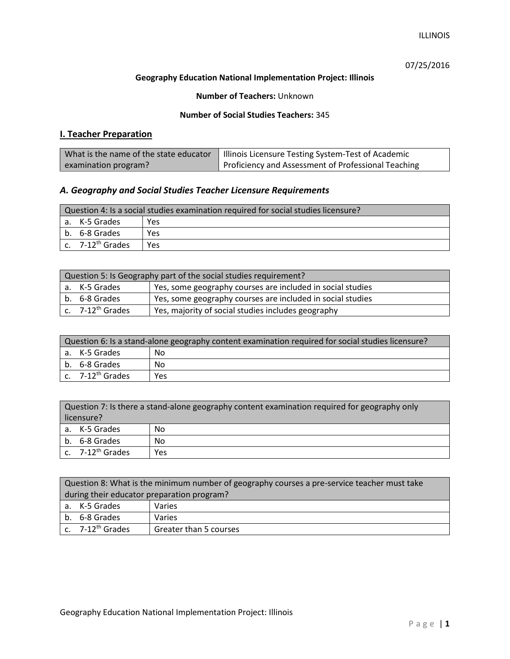ILLINOIS

07/25/2016

### **Geography Education National Implementation Project: Illinois**

**Number of Teachers:** Unknown

### **Number of Social Studies Teachers:** 345

# **I. Teacher Preparation**

| What is the name of the state educator | Illinois Licensure Testing System-Test of Academic  |
|----------------------------------------|-----------------------------------------------------|
| examination program?                   | Proficiency and Assessment of Professional Teaching |

### *A. Geography and Social Studies Teacher Licensure Requirements*

| Question 4: Is a social studies examination required for social studies licensure? |                              |     |
|------------------------------------------------------------------------------------|------------------------------|-----|
|                                                                                    | a. K-5 Grades                | Yes |
|                                                                                    | b. 6-8 Grades                | Yes |
|                                                                                    | c. 7-12 <sup>th</sup> Grades | Yes |

| Question 5: Is Geography part of the social studies requirement? |                                                                             |                                                            |
|------------------------------------------------------------------|-----------------------------------------------------------------------------|------------------------------------------------------------|
|                                                                  | Yes, some geography courses are included in social studies<br>a. K-5 Grades |                                                            |
|                                                                  | b. 6-8 Grades                                                               | Yes, some geography courses are included in social studies |
|                                                                  | $c.$ 7-12 <sup>th</sup> Grades                                              | Yes, majority of social studies includes geography         |

| Question 6: Is a stand-alone geography content examination required for social studies licensure? |                              |     |
|---------------------------------------------------------------------------------------------------|------------------------------|-----|
|                                                                                                   | a. K-5 Grades                | No  |
|                                                                                                   | b. 6-8 Grades                | No  |
|                                                                                                   | c. 7-12 <sup>th</sup> Grades | Yes |

| Question 7: Is there a stand-alone geography content examination required for geography only<br>licensure? |                              |     |
|------------------------------------------------------------------------------------------------------------|------------------------------|-----|
|                                                                                                            | a. K-5 Grades                | No  |
|                                                                                                            | b. 6-8 Grades                | No  |
|                                                                                                            | c. 7-12 <sup>th</sup> Grades | Yes |

|                                            | Question 8: What is the minimum number of geography courses a pre-service teacher must take |                        |  |
|--------------------------------------------|---------------------------------------------------------------------------------------------|------------------------|--|
| during their educator preparation program? |                                                                                             |                        |  |
|                                            | a. K-5 Grades                                                                               | Varies                 |  |
|                                            | b. 6-8 Grades                                                                               | Varies                 |  |
|                                            | c. 7-12 <sup>th</sup> Grades                                                                | Greater than 5 courses |  |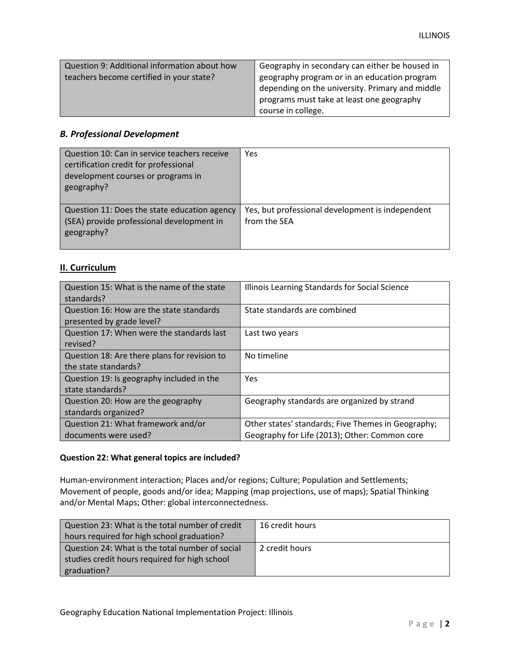| Question 9: Additional information about how | Geography in secondary can either be housed in  |
|----------------------------------------------|-------------------------------------------------|
| teachers become certified in your state?     | geography program or in an education program    |
|                                              | depending on the university. Primary and middle |
|                                              | programs must take at least one geography       |
|                                              | course in college.                              |

## *B. Professional Development*

| Question 10: Can in service teachers receive<br>certification credit for professional<br>development courses or programs in<br>geography? | Yes                                                              |
|-------------------------------------------------------------------------------------------------------------------------------------------|------------------------------------------------------------------|
| Question 11: Does the state education agency<br>(SEA) provide professional development in<br>geography?                                   | Yes, but professional development is independent<br>from the SEA |

# **II. Curriculum**

| Question 15: What is the name of the state   | Illinois Learning Standards for Social Science     |
|----------------------------------------------|----------------------------------------------------|
| standards?                                   |                                                    |
| Question 16: How are the state standards     | State standards are combined                       |
| presented by grade level?                    |                                                    |
| Question 17: When were the standards last    | Last two years                                     |
| revised?                                     |                                                    |
| Question 18: Are there plans for revision to | No timeline                                        |
| the state standards?                         |                                                    |
| Question 19: Is geography included in the    | <b>Yes</b>                                         |
| state standards?                             |                                                    |
| Question 20: How are the geography           | Geography standards are organized by strand        |
| standards organized?                         |                                                    |
| Question 21: What framework and/or           | Other states' standards; Five Themes in Geography; |
| documents were used?                         | Geography for Life (2013); Other: Common core      |

#### **Question 22: What general topics are included?**

Human-environment interaction; Places and/or regions; Culture; Population and Settlements; Movement of people, goods and/or idea; Mapping (map projections, use of maps); Spatial Thinking and/or Mental Maps; Other: global interconnectedness.

| Question 23: What is the total number of credit | 16 credit hours |
|-------------------------------------------------|-----------------|
| hours required for high school graduation?      |                 |
| Question 24: What is the total number of social | 2 credit hours  |
| studies credit hours required for high school   |                 |
| graduation?                                     |                 |